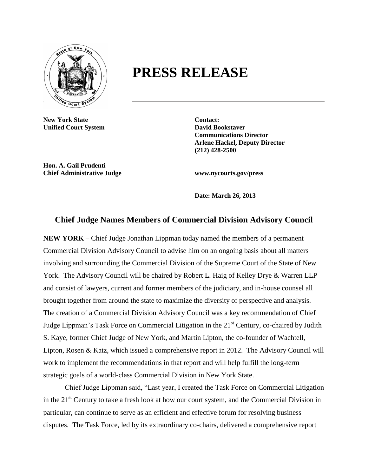

## **PRESS RELEASE**

**New York State Contact: Unified Court System <b>David Bookstaver** 

**Communications Director Arlene Hackel, Deputy Director (212) 428-2500**

**Hon. A. Gail Prudenti Chief Administrative Judge www.nycourts.gov/press**

**Date: March 26, 2013**

## **Chief Judge Names Members of Commercial Division Advisory Council**

**NEW YORK –** Chief Judge Jonathan Lippman today named the members of a permanent Commercial Division Advisory Council to advise him on an ongoing basis about all matters involving and surrounding the Commercial Division of the Supreme Court of the State of New York. The Advisory Council will be chaired by Robert L. Haig of Kelley Drye & Warren LLP and consist of lawyers, current and former members of the judiciary, and in-house counsel all brought together from around the state to maximize the diversity of perspective and analysis. The creation of a Commercial Division Advisory Council was a key recommendation of Chief Judge Lippman's Task Force on Commercial Litigation in the  $21<sup>st</sup>$  Century, co-chaired by Judith S. Kaye, former Chief Judge of New York, and Martin Lipton, the co-founder of Wachtell, Lipton, Rosen & Katz, which issued a comprehensive report in 2012. The Advisory Council will work to implement the recommendations in that report and will help fulfill the long-term strategic goals of a world-class Commercial Division in New York State.

Chief Judge Lippman said, "Last year, I created the Task Force on Commercial Litigation in the 21<sup>st</sup> Century to take a fresh look at how our court system, and the Commercial Division in particular, can continue to serve as an efficient and effective forum for resolving business disputes. The Task Force, led by its extraordinary co-chairs, delivered a comprehensive report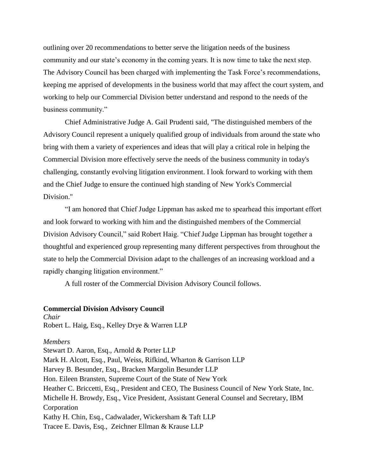outlining over 20 recommendations to better serve the litigation needs of the business community and our state's economy in the coming years. It is now time to take the next step. The Advisory Council has been charged with implementing the Task Force's recommendations, keeping me apprised of developments in the business world that may affect the court system, and working to help our Commercial Division better understand and respond to the needs of the business community."

Chief Administrative Judge A. Gail Prudenti said, "The distinguished members of the Advisory Council represent a uniquely qualified group of individuals from around the state who bring with them a variety of experiences and ideas that will play a critical role in helping the Commercial Division more effectively serve the needs of the business community in today's challenging, constantly evolving litigation environment. I look forward to working with them and the Chief Judge to ensure the continued high standing of New York's Commercial Division."

"I am honored that Chief Judge Lippman has asked me to spearhead this important effort and look forward to working with him and the distinguished members of the Commercial Division Advisory Council," said Robert Haig. "Chief Judge Lippman has brought together a thoughtful and experienced group representing many different perspectives from throughout the state to help the Commercial Division adapt to the challenges of an increasing workload and a rapidly changing litigation environment."

A full roster of the Commercial Division Advisory Council follows.

## **Commercial Division Advisory Council**

*Chair* Robert L. Haig, Esq., Kelley Drye & Warren LLP

## *Members*

Stewart D. Aaron, Esq., Arnold & Porter LLP Mark H. Alcott, Esq., Paul, Weiss, Rifkind, Wharton & Garrison LLP Harvey B. Besunder, Esq., Bracken Margolin Besunder LLP Hon. Eileen Bransten, Supreme Court of the State of New York Heather C. Briccetti, Esq., President and CEO, The Business Council of New York State, Inc. Michelle H. Browdy, Esq., Vice President, Assistant General Counsel and Secretary, IBM Corporation Kathy H. Chin, Esq., Cadwalader, Wickersham & Taft LLP Tracee E. Davis, Esq., Zeichner Ellman & Krause LLP